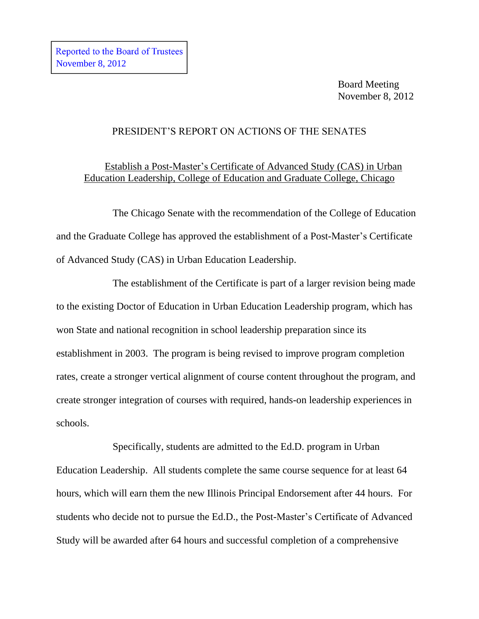Board Meeting November 8, 2012

### PRESIDENT'S REPORT ON ACTIONS OF THE SENATES

# Establish a Post-Master's Certificate of Advanced Study (CAS) in Urban Education Leadership, College of Education and Graduate College, Chicago

The Chicago Senate with the recommendation of the College of Education and the Graduate College has approved the establishment of a Post-Master's Certificate of Advanced Study (CAS) in Urban Education Leadership.

The establishment of the Certificate is part of a larger revision being made to the existing Doctor of Education in Urban Education Leadership program, which has won State and national recognition in school leadership preparation since its establishment in 2003. The program is being revised to improve program completion rates, create a stronger vertical alignment of course content throughout the program, and create stronger integration of courses with required, hands-on leadership experiences in schools.

Specifically, students are admitted to the Ed.D. program in Urban Education Leadership. All students complete the same course sequence for at least 64 hours, which will earn them the new Illinois Principal Endorsement after 44 hours. For students who decide not to pursue the Ed.D., the Post-Master's Certificate of Advanced Study will be awarded after 64 hours and successful completion of a comprehensive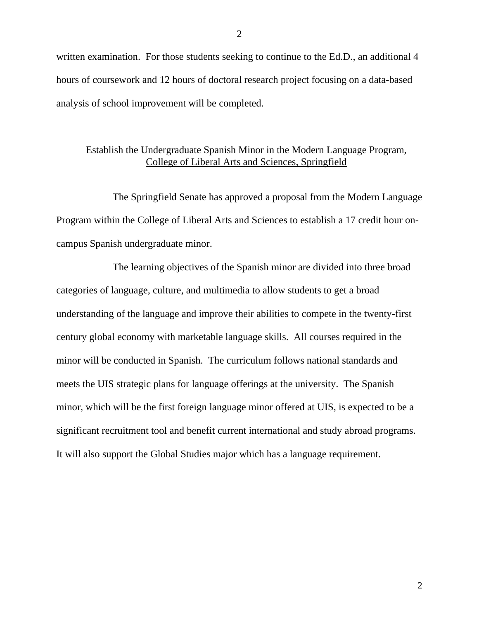written examination. For those students seeking to continue to the Ed.D., an additional 4 hours of coursework and 12 hours of doctoral research project focusing on a data-based analysis of school improvement will be completed.

#### Establish the Undergraduate Spanish Minor in the Modern Language Program, College of Liberal Arts and Sciences, Springfield

The Springfield Senate has approved a proposal from the Modern Language Program within the College of Liberal Arts and Sciences to establish a 17 credit hour oncampus Spanish undergraduate minor.

The learning objectives of the Spanish minor are divided into three broad categories of language, culture, and multimedia to allow students to get a broad understanding of the language and improve their abilities to compete in the twenty-first century global economy with marketable language skills. All courses required in the minor will be conducted in Spanish. The curriculum follows national standards and meets the UIS strategic plans for language offerings at the university. The Spanish minor, which will be the first foreign language minor offered at UIS, is expected to be a significant recruitment tool and benefit current international and study abroad programs. It will also support the Global Studies major which has a language requirement.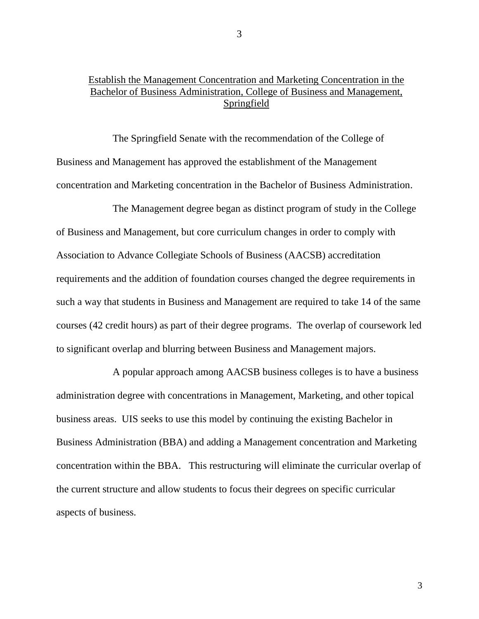## Establish the Management Concentration and Marketing Concentration in the Bachelor of Business Administration, College of Business and Management, Springfield

The Springfield Senate with the recommendation of the College of Business and Management has approved the establishment of the Management concentration and Marketing concentration in the Bachelor of Business Administration.

The Management degree began as distinct program of study in the College of Business and Management, but core curriculum changes in order to comply with Association to Advance Collegiate Schools of Business (AACSB) accreditation requirements and the addition of foundation courses changed the degree requirements in such a way that students in Business and Management are required to take 14 of the same courses (42 credit hours) as part of their degree programs. The overlap of coursework led to significant overlap and blurring between Business and Management majors.

A popular approach among AACSB business colleges is to have a business administration degree with concentrations in Management, Marketing, and other topical business areas. UIS seeks to use this model by continuing the existing Bachelor in Business Administration (BBA) and adding a Management concentration and Marketing concentration within the BBA. This restructuring will eliminate the curricular overlap of the current structure and allow students to focus their degrees on specific curricular aspects of business.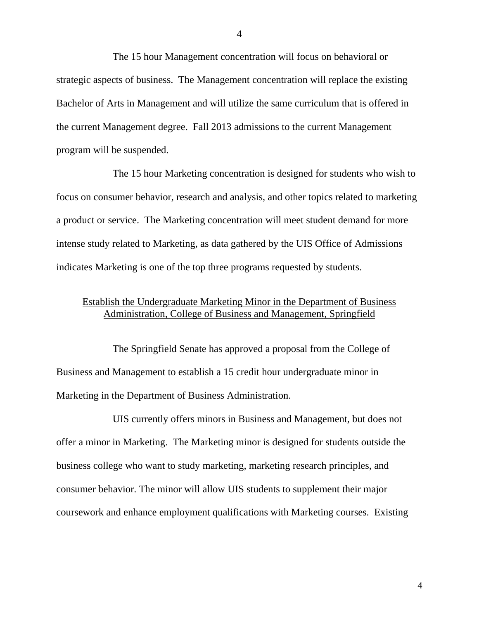The 15 hour Management concentration will focus on behavioral or strategic aspects of business. The Management concentration will replace the existing Bachelor of Arts in Management and will utilize the same curriculum that is offered in the current Management degree. Fall 2013 admissions to the current Management program will be suspended.

The 15 hour Marketing concentration is designed for students who wish to focus on consumer behavior, research and analysis, and other topics related to marketing a product or service. The Marketing concentration will meet student demand for more intense study related to Marketing, as data gathered by the UIS Office of Admissions indicates Marketing is one of the top three programs requested by students.

#### Establish the Undergraduate Marketing Minor in the Department of Business Administration, College of Business and Management, Springfield

The Springfield Senate has approved a proposal from the College of Business and Management to establish a 15 credit hour undergraduate minor in Marketing in the Department of Business Administration.

UIS currently offers minors in Business and Management, but does not offer a minor in Marketing. The Marketing minor is designed for students outside the business college who want to study marketing, marketing research principles, and consumer behavior. The minor will allow UIS students to supplement their major coursework and enhance employment qualifications with Marketing courses. Existing